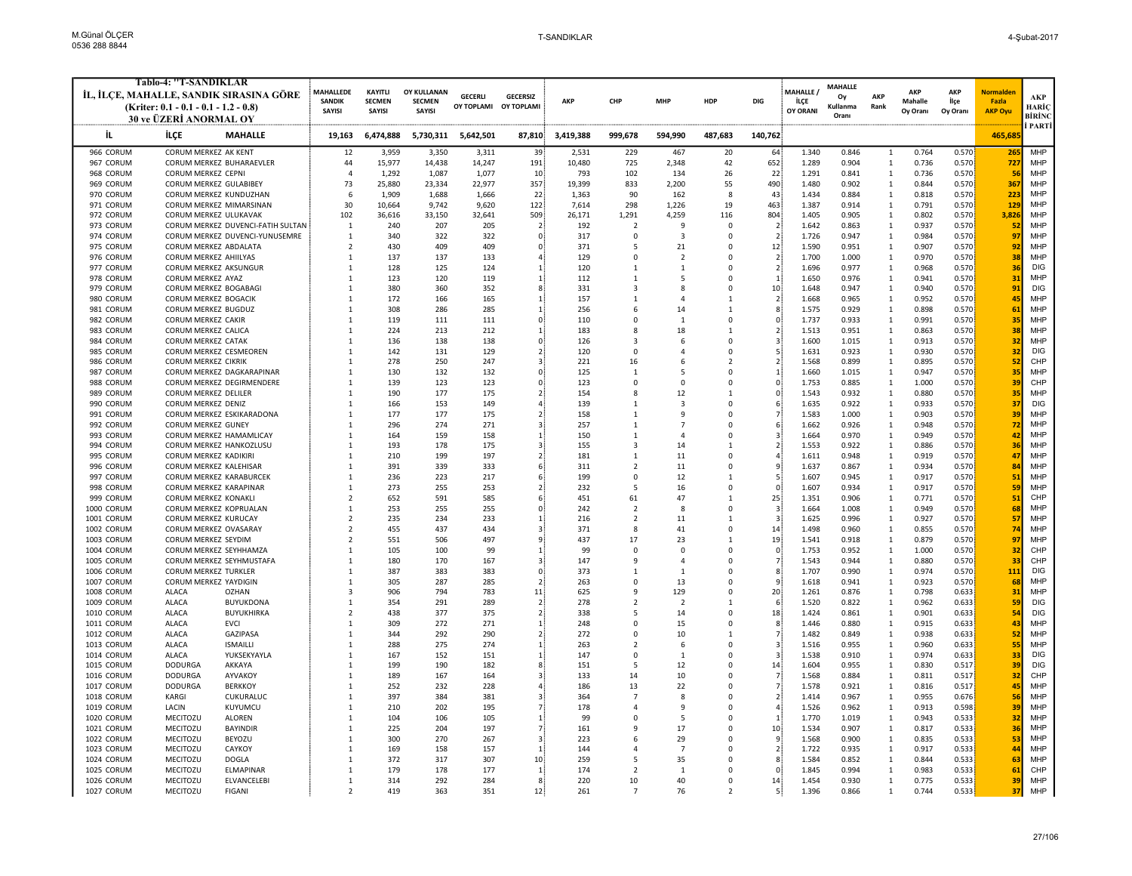| <b>Tablo-4: "T-SANDIKLAR</b><br>İL, İLCE, MAHALLE, SANDIK SIRASINA GÖRE |                                                         |                                                        | <b>MAHALLEDE</b>               | <b>KAYITLI</b>  | <b>OY KULLANAN</b>    | <b>GECERLI</b> | <b>GECERSIZ</b>                          |                |                                |                            |                          |                                  | MAHALLE /      | <b>MAHALLE</b> | <b>AKP</b>                   | <b>AKP</b>     | AKP            | <b>Normalden</b> |                          |
|-------------------------------------------------------------------------|---------------------------------------------------------|--------------------------------------------------------|--------------------------------|-----------------|-----------------------|----------------|------------------------------------------|----------------|--------------------------------|----------------------------|--------------------------|----------------------------------|----------------|----------------|------------------------------|----------------|----------------|------------------|--------------------------|
| (Kriter: 0.1 - 0.1 - 0.1 - 1.2 - 0.8)                                   |                                                         | <b>SANDIK</b>                                          | <b>SECMEN</b>                  | <b>SECMEN</b>   | OY TOPLAMI OY TOPLAMI |                | AKP                                      | CHP            | <b>MHP</b>                     | HDP                        | DIG                      | İLÇE                             | Oy<br>Kullanma | Rank           | Mahalle                      | İlçe           | Fazla          | AKP<br>HARİÇ     |                          |
| <b>30 ve ÜZERİ ANORMAL OY</b>                                           |                                                         | <b>SAYISI</b>                                          | <b>SAYISI</b>                  | <b>SAYISI</b>   |                       |                |                                          |                |                                |                            |                          | <b>OY ORANI</b>                  | Oranı          |                | Ov Oranı                     | Oy Oranı       | <b>AKP Oyu</b> | BİRİNC           |                          |
| iL.                                                                     | <b>İLCE</b>                                             | <b>MAHALLE</b>                                         | 19,163                         | 6,474,888       | 5,730,311             | 5,642,501      | 87,810                                   | 3,419,388      | 999,678                        | 594,990                    | 487,683                  | 140,762                          |                |                |                              |                |                | 465,68           | i PARTI                  |
| 966 CORUM                                                               | CORUM MERKEZ AK KENT                                    |                                                        | 12                             | 3,959           | 3,350                 | 3,311          | 39                                       | 2,531          | 229                            | 467                        | 20                       | 64                               | 1.340          | 0.846          | $\mathbf{1}$                 | 0.764          | 0.570          | 26               | <b>MHP</b>               |
| 967 CORUM                                                               | CORUM MERKEZ BUHARAEVLER                                |                                                        | 44                             | 15,977          | 14,438                | 14,247         | 191                                      | 10,480         | 725                            | 2,348                      | 42                       | 652                              | 1.289          | 0.904          | $\mathbf{1}$                 | 0.736          | 0.570          | 727              | MHP                      |
| 968 CORUM                                                               | CORUM MERKEZ CEPNI                                      |                                                        | $\Delta$                       | 1,292           | 1,087                 | 1,077          | 10                                       | 793            | 102                            | 134                        | 26                       | 22                               | 1.291          | 0.841          | $\mathbf{1}$                 | 0.736          | 0.570          | -56              | <b>MHP</b>               |
| 969 CORUM                                                               | CORUM MERKEZ GULABIBEY                                  |                                                        | 73                             | 25,880          | 23,334                | 22,977         | 357                                      | 19,399         | 833                            | 2,200                      | 55                       | 490                              | 1.480          | 0.902          | $\mathbf{1}$                 | 0.844          | 0.570          | 367              | MHP                      |
| 970 CORUM<br>971 CORUM                                                  | CORUM MERKEZ KUNDUZHAN<br>CORUM MERKEZ MIMARSINAN       |                                                        | 6<br>30                        | 1,909<br>10,664 | 1,688<br>9,742        | 1,666<br>9,620 | 22<br>122                                | 1,363<br>7,614 | 90<br>298                      | 162<br>1,226               | 8<br>19                  | 43<br>463                        | 1.434<br>1.387 | 0.884<br>0.914 | $\mathbf{1}$<br>1            | 0.818<br>0.791 | 0.570<br>0.570 | 22.<br>129       | MHP<br><b>MHP</b>        |
| 972 CORUM                                                               | CORUM MERKEZ ULUKAVAK                                   |                                                        | 102                            | 36,616          | 33,150                | 32,641         | 509                                      | 26,171         | 1,291                          | 4,259                      | 116                      | 804                              | 1.405          | 0.905          | 1                            | 0.802          | 0.570          | 3,826            | <b>MHP</b>               |
| 973 CORUM                                                               |                                                         | CORUM MERKEZ DUVENCI-FATIH SULTAN                      | $\mathbf{1}$                   | 240             | 207                   | 205            | $\overline{\phantom{a}}$                 | 192            | $\overline{\phantom{0}}$       | 9                          | $\Omega$                 | $\overline{2}$                   | 1.642          | 0.863          | 1                            | 0.937          | 0.570          | 52               | <b>MHP</b>               |
| 974 CORUM                                                               |                                                         | CORUM MERKEZ DUVENCI-YUNUSEMRE                         | $\overline{1}$                 | 340             | 322                   | 322            | $\Omega$                                 | 317            | $\Omega$                       | $\overline{\mathbf{3}}$    | $\Omega$                 | $\overline{\phantom{a}}$         | 1.726          | 0.947          | $\mathbf{1}$                 | 0.984          | 0.570          | $\mathbf{q}$     | <b>MHP</b>               |
| 975 CORUM<br>976 CORUM                                                  | CORUM MERKEZ ABDALATA<br>CORUM MERKEZ AHIILYAS          |                                                        | $\overline{2}$<br>$\mathbf{1}$ | 430<br>137      | 409<br>137            | 409<br>133     | O                                        | 371<br>129     | 5<br>$\Omega$                  | 21<br>$\overline{2}$       | 0<br>$\Omega$            | 12<br>$\overline{2}$             | 1.590<br>1.700 | 0.951<br>1.000 | $\mathbf{1}$<br>1            | 0.907<br>0.970 | 0.570<br>0.570 | 92<br>38         | MHP<br>MHP               |
| 977 CORUM                                                               | CORUM MERKEZ AKSUNGUR                                   |                                                        | 1                              | 128             | 125                   | 124            | $\mathbf{1}$                             | 120            | $\mathbf{1}$                   | $\mathbf{1}$               | $\Omega$                 | $\overline{2}$                   | 1.696          | 0.977          | $\mathbf{1}$                 | 0.968          | 0.570          | 36               | <b>DIG</b>               |
| 978 CORUM                                                               | CORUM MERKEZ AYAZ                                       |                                                        | $\mathbf{1}$                   | 123             | 120                   | 119            |                                          | 112            | $\mathbf{1}$                   | 5                          | 0                        | $\mathbf{1}$                     | 1.650          | 0.976          | $\mathbf{1}$                 | 0.941          | 0.570          | 31               | <b>MHP</b>               |
| 979 CORUM                                                               | CORUM MERKEZ BOGABAGI                                   |                                                        | $\mathbf{1}$                   | 380             | 360                   | 352            |                                          | 331            | 3                              | 8                          | $\Omega$                 | 10                               | 1.648          | 0.947          | $\mathbf{1}$                 | 0.940          | 0.570          | 9                | <b>DIG</b>               |
| 980 CORUM                                                               | CORUM MERKEZ BOGACIK                                    |                                                        | -1                             | 172             | 166                   | 165            | -1                                       | 157            | $\overline{1}$                 | $\Delta$                   | $\mathbf{1}$             | $\overline{\phantom{a}}$         | 1.668          | 0.965          | $\mathbf{1}$                 | 0.952          | 0.570          | $\mathbf{A}$     | MHP                      |
| 981 CORUM<br>982 CORUM                                                  | CORUM MERKEZ BUGDUZ<br>CORUM MERKEZ CAKIR               |                                                        | $\mathbf{1}$<br>$\mathbf{1}$   | 308<br>119      | 286<br>111            | 285<br>111     | 1<br>$\Omega$                            | 256<br>110     | 6<br>$\Omega$                  | 14<br>$\overline{1}$       | 1<br>0                   | 8<br>$\Omega$                    | 1.575<br>1.737 | 0.929<br>0.933 | 1<br>$\mathbf{1}$            | 0.898<br>0.991 | 0.570<br>0.570 | 61<br>35         | MHP<br><b>MHP</b>        |
| 983 CORUM                                                               | CORUM MERKEZ CALICA                                     |                                                        | $\mathbf{1}$                   | 224             | 213                   | 212            | $\mathbf{1}$                             | 183            | 8                              | 18                         | $\mathbf{1}$             | $\overline{2}$                   | 1.513          | 0.951          | 1                            | 0.863          | 0.570          | 38               | <b>MHP</b>               |
| 984 CORUM                                                               | CORUM MERKEZ CATAK                                      |                                                        | $\mathbf{1}$                   | 136             | 138                   | 138            | 0                                        | 126            | 3                              | 6                          | 0                        | $\overline{3}$                   | 1.600          | 1.015          | $\mathbf{1}$                 | 0.913          | 0.570          | 32               | <b>MHP</b>               |
| 985 CORUM                                                               | CORUM MERKEZ CESMEOREN                                  |                                                        | $\mathbf{1}$                   | 142             | 131                   | 129            | $\overline{\phantom{a}}$                 | 120            | $\Omega$                       | 4                          | $\Omega$                 | 5                                | 1.631          | 0.923          | $\mathbf{1}$                 | 0.930          | 0.570          | 31               | <b>DIG</b>               |
| 986 CORUM                                                               | CORUM MERKEZ CIKRIK                                     |                                                        | $\mathbf{1}$                   | 278             | 250                   | 247            | 3                                        | 221            | 16                             | 6                          | $\overline{2}$           | $\overline{z}$                   | 1.568          | 0.899          | $\mathbf{1}$                 | 0.895          | 0.570          | -52              | CHP                      |
| 987 CORUM<br>988 CORUM                                                  |                                                         | CORUM MERKEZ DAGKARAPINAR<br>CORUM MERKEZ DEGIRMENDERE | $\mathbf{1}$<br>$\mathbf{1}$   | 130<br>139      | 132<br>123            | 132<br>123     | 0<br>$\Omega$                            | 125<br>123     | $\mathbf{1}$<br>$\Omega$       | 5<br>$\Omega$              | 0<br>$\Omega$            | $\Omega$                         | 1.660<br>1.753 | 1.015<br>0.885 | 1<br>$\mathbf{1}$            | 0.947<br>1.000 | 0.570<br>0.570 | 35<br>39         | MHP<br>CHP               |
| 989 CORUM                                                               | CORUM MERKEZ DELILER                                    |                                                        | $\mathbf{1}$                   | 190             | 177                   | 175            | $\overline{2}$                           | 154            | 8                              | 12                         | $\mathbf{1}$             | $\Omega$                         | 1.543          | 0.932          | $\mathbf{1}$                 | 0.880          | 0.570          | 35               | <b>MHP</b>               |
| 990 CORUM                                                               | CORUM MERKEZ DENIZ                                      |                                                        | $\mathbf{1}$                   | 166             | 153                   | 149            | 4                                        | 139            | $\mathbf{1}$                   | 3                          | $\Omega$                 | 6                                | 1.635          | 0.922          | $\mathbf{1}$                 | 0.933          | 0.570          | 3.               | <b>DIG</b>               |
| 991 CORUM                                                               | CORUM MERKEZ ESKIKARADONA                               |                                                        | $\mathbf{1}$                   | 177             | 177                   | 175            | $\overline{2}$                           | 158            | $\mathbf{1}$                   | $\mathsf{q}$               | $\Omega$                 |                                  | 1.583          | 1.000          | $\mathbf{1}$                 | 0.903          | 0.570          | $\mathbf{R}$     | MHP                      |
| 992 CORUM                                                               | <b>CORUM MERKEZ GUNEY</b>                               |                                                        | 1                              | 296             | 274                   | 271            | 3                                        | 257            | $\mathbf{1}$                   | $\overline{7}$             | $\Omega$                 | 6                                | 1.662          | 0.926          | 1                            | 0.948          | 0.570          | 72               | MHP                      |
| 993 CORUM<br>994 CORUM                                                  | CORUM MERKEZ HAMAMLICAY<br>CORUM MERKEZ HANKOZLUSU      |                                                        | 1<br>$\mathbf{1}$              | 164<br>193      | 159<br>178            | 158<br>175     | 1<br>3                                   | 150<br>155     | $\mathbf{1}$<br>$\mathbf{3}$   | $\Delta$<br>14             | $\Omega$<br>$\mathbf{1}$ | 3<br>$\overline{2}$              | 1.664<br>1.553 | 0.970<br>0.922 | $\mathbf{1}$<br>$\mathbf{1}$ | 0.949<br>0.886 | 0.570<br>0.570 | 42<br>36         | <b>MHP</b><br><b>MHP</b> |
| 995 CORUM                                                               | CORUM MERKEZ KADIKIRI                                   |                                                        | 1                              | 210             | 199                   | 197            | $\overline{\phantom{a}}$                 | 181            | $\mathbf{1}$                   | 11                         | $\Omega$                 | $\Delta$                         | 1.611          | 0.948          | $\mathbf{1}$                 | 0.919          | 0.570          | $\mathbf{A}$     | <b>MHP</b>               |
| 996 CORUM                                                               | CORUM MERKEZ KALEHISAR                                  |                                                        | $\mathbf{1}$                   | 391             | 339                   | 333            | 6                                        | 311            | $\overline{2}$                 | 11                         | 0                        | 9                                | 1.637          | 0.867          | $\mathbf{1}$                 | 0.934          | 0.570          | $\bf{a}$         | MHP                      |
| 997 CORUM                                                               | CORUM MERKEZ KARABURCEK                                 |                                                        | 1                              | 236             | 223                   | 217            | 6                                        | 199            | $\mathbf 0$                    | 12                         | $\mathbf{1}$             | 5                                | 1.607          | 0.945          | $\mathbf{1}$                 | 0.917          | 0.570          | 5                | MHP                      |
| 998 CORUM                                                               | CORUM MERKEZ KARAPINAR                                  |                                                        | 1                              | 273             | 255                   | 253            | $\mathcal{P}$                            | 232            | 5                              | 16                         | $\Omega$                 | $\Omega$                         | 1.607          | 0.934          | 1                            | 0.917          | 0.570          | 59               | MHP                      |
| 999 CORUM<br>1000 CORUM                                                 | CORUM MERKEZ KONAKLI<br>CORUM MERKEZ KOPRUALAN          |                                                        | $\overline{2}$<br>$\mathbf{1}$ | 652<br>253      | 591<br>255            | 585<br>255     | 6<br>$\Omega$                            | 451<br>242     | 61<br>$\overline{\phantom{0}}$ | 47<br>-8                   | $\mathbf{1}$<br>$\Omega$ | 25<br>$\overline{\mathbf{3}}$    | 1.351<br>1.664 | 0.906<br>1.008 | 1<br>1                       | 0.771<br>0.949 | 0.570<br>0.570 | 51<br>61         | CHP<br>MHP               |
| 1001 CORUM                                                              | CORUM MERKEZ KURUCAY                                    |                                                        | $\mathcal{P}$                  | 235             | 234                   | 233            | $\mathbf{1}$                             | 216            | $\overline{\phantom{0}}$       | 11                         | $\mathbf{1}$             | $\overline{\mathbf{3}}$          | 1.625          | 0.996          | $\mathbf{1}$                 | 0.927          | 0.570          | 51               | <b>MHP</b>               |
| 1002 CORUM                                                              | CORUM MERKEZ OVASARAY                                   |                                                        | $\overline{2}$                 | 455             | 437                   | 434            | 3                                        | 371            | 8                              | 41                         | 0                        | 14                               | 1.498          | 0.960          | $\mathbf{1}$                 | 0.855          | 0.570          | 7                | MHP                      |
| 1003 CORUM                                                              | CORUM MERKEZ SEYDIM                                     |                                                        | $\overline{\phantom{a}}$       | 551             | 506                   | 497            | q                                        | 437            | 17                             | 23                         | $\mathbf{1}$             | 19                               | 1.541          | 0.918          | $\mathbf{1}$                 | 0.879          | 0.570          | 91               | <b>MHP</b>               |
| 1004 CORUM                                                              | CORUM MERKEZ SEYHHAMZA                                  |                                                        | 1                              | 105             | 100                   | 99             | 1                                        | 99             | $\Omega$                       | $\Omega$                   | $\Omega$                 | $\Omega$                         | 1.753          | 0.952          | $\mathbf{1}$                 | 1.000          | 0.570          | 32               | CHP                      |
| 1005 CORUM<br>1006 CORUM                                                | CORUM MERKEZ SEYHMUSTAFA<br><b>CORUM MERKEZ TURKLER</b> |                                                        | $\mathbf{1}$<br>$\mathbf{1}$   | 180<br>387      | 170<br>383            | 167<br>383     | 3<br>$\Omega$                            | 147<br>373     | 9<br>$\mathbf{1}$              | $\Delta$<br>$\overline{1}$ | $\Omega$<br>$\Omega$     | $\overline{7}$<br>8              | 1.543<br>1.707 | 0.944<br>0.990 | $\mathbf{1}$<br>1            | 0.880<br>0.974 | 0.570<br>0.570 | 31<br>111        | CHP<br><b>DIG</b>        |
| 1007 CORUM                                                              | CORUM MERKEZ YAYDIGIN                                   |                                                        | $\mathbf{1}$                   | 305             | 287                   | 285            | $\mathcal{P}$                            | 263            | $\mathsf 0$                    | 13                         | $\Omega$                 | q                                | 1.618          | 0.941          | $\mathbf{1}$                 | 0.923          | 0.570          | 68               | <b>MHP</b>               |
| 1008 CORUM                                                              | <b>ALACA</b>                                            | <b>OZHAN</b>                                           | 3                              | 906             | 794                   | 783            | 11                                       | 625            | 9                              | 129                        | 0                        | 20                               | 1.261          | 0.876          | $\mathbf{1}$                 | 0.798          | 0.633          | 31               | <b>MHP</b>               |
| 1009 CORUM                                                              | <b>ALACA</b>                                            | <b>BUYUKDONA</b>                                       | $\mathbf{1}$                   | 354             | 291                   | 289            | $\overline{2}$                           | 278            | $\overline{2}$                 | $\overline{2}$             | $\mathbf{1}$             | 6                                | 1.520          | 0.822          | 1                            | 0.962          | 0.633          | 5                | DIG                      |
| 1010 CORUM                                                              | <b>ALACA</b>                                            | <b>BUYUKHIRKA</b>                                      | $\overline{\phantom{a}}$       | 438             | 377                   | 375            | $\overline{2}$                           | 338            | 5                              | 14                         | $\Omega$                 | 18                               | 1.424          | 0.861          | 1                            | 0.901          | 0.633          | 5                | <b>DIG</b>               |
| 1011 CORUM<br>1012 CORUM                                                | <b>ALACA</b><br>ALACA                                   | <b>EVCI</b><br>GAZIPASA                                | $\mathbf{1}$<br>$\mathbf{1}$   | 309<br>344      | 272<br>292            | 271<br>290     | $\mathbf{1}$<br>$\overline{\phantom{a}}$ | 248<br>272     | $\Omega$<br>$\Omega$           | 15<br>10                   | $\Omega$<br>$\mathbf{1}$ | 8<br>$\overline{7}$              | 1.446<br>1.482 | 0.880<br>0.849 | 1<br>$\mathbf{1}$            | 0.915<br>0.938 | 0.633<br>0.633 | 43<br>52         | MHP<br>MHP               |
| 1013 CORUM                                                              | <b>ALACA</b>                                            | <b>ISMAILLI</b>                                        | -1                             | 288             | 275                   | 274            | -1                                       | 263            | $\overline{2}$                 | -6                         | 0                        | $\overline{3}$                   | 1.516          | 0.955          | $\mathbf{1}$                 | 0.960          | 0.633          | -55              | MHP                      |
| 1014 CORUM                                                              | ALACA                                                   | YUKSEKYAYLA                                            | 1                              | 167             | 152                   | 151            |                                          | 147            | $\mathbf 0$                    | 1                          | 0                        | $\overline{3}$                   | 1.538          | 0.910          | $\mathbf{1}$                 | 0.974          | 0.633          | 31               | <b>DIG</b>               |
| 1015 CORUM                                                              | <b>DODURGA</b>                                          | AKKAYA                                                 | 1                              | 199             | 190                   | 182            | 8                                        | 151            | 5                              | 12                         | $\Omega$                 | 14                               | 1.604          | 0.955          | $\mathbf{1}$                 | 0.830          | 0.517          | 39               | <b>DIG</b>               |
| 1016 CORUM                                                              | <b>DODURGA</b>                                          | AYVAKOY                                                | 1                              | 189             | 167                   | 164            | 3                                        | 133            | 14                             | 10                         | $\Omega$                 | $\overline{7}$                   | 1.568          | 0.884          | $\mathbf{1}$                 | 0.811          | 0.517          | 32               | CHP                      |
| 1017 CORUM<br>1018 CORUM                                                | <b>DODURGA</b><br>KARGI                                 | <b>BERKKOY</b><br>CUKURALUC                            | $\mathbf{1}$<br>$\mathbf{1}$   | 252<br>397      | 232<br>384            | 228<br>381     | 4<br>3                                   | 186<br>364     | 13<br>$\overline{7}$           | 22<br>8                    | $\Omega$<br>$\Omega$     | $\overline{7}$<br>$\overline{2}$ | 1.578<br>1.414 | 0.921<br>0.967 | $\mathbf{1}$<br>$\mathbf{1}$ | 0.816<br>0.955 | 0.517<br>0.676 | 45<br>56         | <b>MHP</b><br><b>MHP</b> |
| 1019 CORUM                                                              | <b>LACIN</b>                                            | KUYUMCU                                                | $\mathbf{1}$                   | 210             | 202                   | 195            | $\overline{7}$                           | 178            | $\overline{4}$                 | 9                          | $\Omega$                 |                                  | 1.526          | 0.962          | $\mathbf{1}$                 | 0.913          | 0.598          | 39               | MHP                      |
| 1020 CORUM                                                              | MECITOZU                                                | <b>ALOREN</b>                                          | $\mathbf{1}$                   | 104             | 106                   | 105            | 1                                        | 99             | $\mathbf 0$                    | 5                          | 0                        |                                  | 1.770          | 1.019          | 1                            | 0.943          | 0.533          | 32               | <b>MHP</b>               |
| 1021 CORUM                                                              | MECITOZU                                                | <b>BAYINDIR</b>                                        | $\mathbf{1}$                   | 225             | 204                   | 197            | $\overline{7}$                           | 161            | 9                              | 17                         | $\Omega$                 | 10                               | 1.534          | 0.907          | 1                            | 0.817          | 0.533          | $\overline{3}$   | MHP                      |
| 1022 CORUM                                                              | MECITOZU                                                | BEYOZU                                                 | $\mathbf{1}$                   | 300             | 270                   | 267            | 3                                        | 223            | 6                              | 29                         | $\Omega$                 | <b>q</b>                         | 1.568          | 0.900          | 1                            | 0.835          | 0.533          | 53               | <b>MHP</b>               |
| 1023 CORUM<br>1024 CORUM                                                | MECITOZU<br>MECITOZU                                    | CAYKOY<br><b>DOGLA</b>                                 | $\mathbf{1}$<br>$\mathbf{1}$   | 169<br>372      | 158<br>317            | 157<br>307     | $\mathbf{1}$<br>10                       | 144<br>259     | $\Delta$<br>5                  | $\overline{7}$<br>35       | $\Omega$<br>$\Omega$     | $\overline{2}$<br>8              | 1.722<br>1.584 | 0.935<br>0.852 | $\mathbf{1}$<br>$\mathbf{1}$ | 0.917<br>0.844 | 0.533<br>0.533 | л<br>61          | <b>MHP</b><br>MHP        |
| 1025 CORUM                                                              | MECITOZU                                                | <b>ELMAPINAR</b>                                       | -1                             | 179             | 178                   | 177            | 1                                        | 174            | $\overline{\phantom{0}}$       | -1                         | $\Omega$                 | $\Omega$                         | 1.845          | 0.994          | 1                            | 0.983          | 0.533          | 6                | CHP                      |
| 1026 CORUM                                                              | MECITOZU                                                | ELVANCELEBI                                            | $\mathbf{1}$                   | 314             | 292                   | 284            | 8                                        | 220            | 10                             | 40                         | $\Omega$                 | 14                               | 1.454          | 0.930          | 1                            | 0.775          | 0.533          | 39               | MHP                      |
| 1027 CORUM                                                              | MECITOZU                                                | <b>FIGANI</b>                                          |                                | 419             | 363                   | 351            | 12 <sup>1</sup>                          | 261            |                                | 76                         |                          |                                  | 1.396          | 0.866          | $\mathbf{1}$                 | 0.744          | 0.533          | 37               | <b>MHP</b>               |